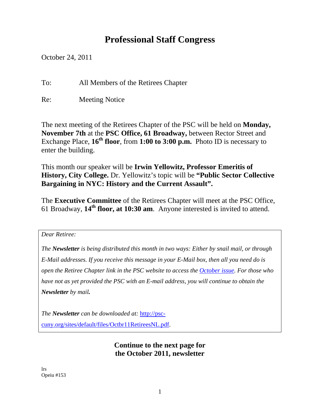# **Professional Staff Congress**

October 24, 2011

To: All Members of the Retirees Chapter

Re: Meeting Notice

The next meeting of the Retirees Chapter of the PSC will be held on **Monday, November 7th** at the **PSC Office, 61 Broadway,** between Rector Street and Exchange Place, **16th floor**, from **1:00 to 3:00 p.m.** Photo ID is necessary to enter the building.

This month our speaker will be **Irwin Yellowitz, Professor Emeritis of History, City College.** Dr. Yellowitz's topic will be **"Public Sector Collective Bargaining in NYC: History and the Current Assault".** 

The **Executive Committee** of the Retirees Chapter will meet at the PSC Office, 61 Broadway, **14th floor, at 10:30 am**. Anyone interested is invited to attend.

*Dear Retiree:* 

*The Newsletter is being distributed this month in two ways: Either by snail mail, or through E-Mail addresses. If you receive this message in your E-Mail box, then all you need do is open the Retiree Chapter link in the PSC website to access the October issue. For those who have not as yet provided the PSC with an E-mail address, you will continue to obtain the Newsletter by mail.* 

*The Newsletter can be downloaded at:* http://psccuny.org/sites/default/files/Octbr11RetireesNL.pdf.

## **Continue to the next page for the October 2011, newsletter**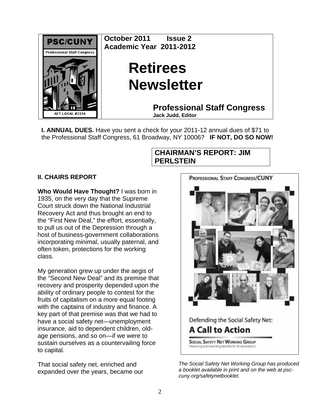

**I. ANNUAL DUES.** Have you sent a check for your 2011-12 annual dues of \$71 to the Professional Staff Congress, 61 Broadway, NY 10006? **IF NOT, DO SO NOW!**

## **CHAIRMAN'S REPORT: JIM PERLSTEIN**

## **II. CHAIRS REPORT**

**Who Would Have Thought?** I was born in 1935, on the very day that the Supreme Court struck down the National Industrial Recovery Act and thus brought an end to the "First New Deal," the effort, essentially, to pull us out of the Depression through a host of business-government collaborations incorporating minimal, usually paternal, and often token, protections for the working class.

My generation grew up under the aegis of the "Second New Deal" and its premise that recovery and prosperity depended upon the ability of ordinary people to contest for the fruits of capitalism on a more equal footing with the captains of industry and finance. A key part of that premise was that we had to have a social safety net—unemployment insurance, aid to dependent children, oldage pensions, and so on—if we were to sustain ourselves as a countervailing force to capital.

That social safety net, enriched and expanded over the years, became our



*The Social Safety Net Working Group has produced a booklet available in print and on the web at psccuny.org/safetynetbooklet.*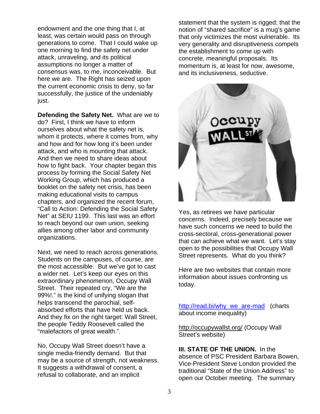endowment and the one thing that I, at least, was certain would pass on through generations to come. That I could wake up one morning to find the safety net under attack, unraveling, and its political assumptions no longer a matter of consensus was, to me, inconceivable. But here we are. The Right has seized upon the current economic crisis to deny, so far successfully, the justice of the undeniably just.

**Defending the Safety Net.** What are we to do? First, I think we have to inform ourselves about what the safety net is, whom it protects, where it comes from, why and how and for how long it's been under attack, and who is mounting that attack. And then we need to share ideas about how to fight back. Your chapter began this process by forming the Social Safety Net Working Group, which has produced a booklet on the safety net crisis, has been making educational visits to campus chapters, and organized the recent forum, "Call to Action: Defending the Social Safety Net" at SEIU 1199. This last was an effort to reach beyond our own union, seeking allies among other labor and community organizations.

Next, we need to reach across generations. Students on the campuses, of course, are the most accessible. But we've got to cast a wider net. Let's keep our eyes on this extraordinary phenomenon, Occupy Wall Street. Their repeated cry, "We are the 99%!." is the kind of unifying slogan that helps transcend the parochial, selfabsorbed efforts that have held us back. And they fix on the right target: Wall Street, the people Teddy Roosevelt called the "malefactors of great wealth.".

No, Occupy Wall Street doesn't have a single media-friendly demand. But that may be a source of strength, not weakness. It suggests a withdrawal of consent, a refusal to collaborate, and an implicit

statement that the system is rigged; that the notion of "shared sacrifice" is a mug's game that only victimizes the most vulnerable. Its very generality and disruptiveness compels the establishment to come up with concrete, meaningful proposals. Its momentum is, at least for now, awesome, and its inclusiveness, seductive.



Yes, as retirees we have particular concerns. Indeed, precisely because we have such concerns we need to build the cross-sectoral, cross-generational power that can achieve what we want. Let's stay open to the possibilities that Occupy Wall Street represents. What do you think?

Here are two websites that contain more information about issues confronting us today.

http://read.bi/why\_we\_are-mad (charts about income inequality)

http://occupywallst.org/ (Occupy Wall Street's website)

**III. STATE OF THE UNION.** In the absence of PSC President Barbara Bowen, Vice-President Steve London provided the traditional "State of the Union Address" to open our October meeting. The summary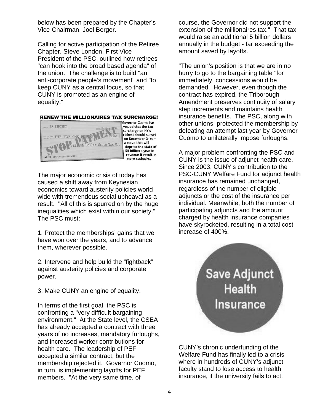below has been prepared by the Chapter's Vice-Chairman, Joel Berger.

Calling for active participation of the Retiree Chapter, Steve London, First Vice President of the PSC, outlined how retirees "can hook into the broad based agenda" of the union. The challenge is to build "an anti-corporate people's movement" and "to keep CUNY as a central focus, so that CUNY is promoted as an engine of equality."

#### **RENEW THE MILLIONAIRES TAX SURCHARGE!**



Governor Cuomo has vowed that the tax surcharge on NY's richest should sunset on December 31st -a move that will deprive the state of \$5 billion a year in revenue & result in more cutbacks.

The major economic crisis of today has caused a shift away from Keynesian economics toward austerity policies world wide with tremendous social upheaval as a result. "All of this is spurred on by the huge inequalities which exist within our society." The PSC must:

1. Protect the memberships' gains that we have won over the years, and to advance them, wherever possible.

2. Intervene and help build the "fightback" against austerity policies and corporate power.

3. Make CUNY an engine of equality.

In terms of the first goal, the PSC is confronting a "very difficult bargaining environment." At the State level, the CSEA has already accepted a contract with three years of no increases, mandatory furloughs, and increased worker contributions for health care. The leadership of PEF accepted a similar contract, but the membership rejected it. Governor Cuomo, in turn, is implementing layoffs for PEF members. "At the very same time, of

course, the Governor did not support the extension of the millionaires tax." That tax would raise an additional 5 billion dollars annually in the budget - far exceeding the amount saved by layoffs.

"The union's position is that we are in no hurry to go to the bargaining table "for immediately, concessions would be demanded. However, even though the contract has expired, the Triborough Amendment preserves continuity of salary step increments and maintains health insurance benefits. The PSC, along with other unions, protected the membership by defeating an attempt last year by Governor Cuomo to unilaterally impose furloughs.

A major problem confronting the PSC and CUNY is the issue of adjunct health care. Since 2003, CUNY's contribution to the PSC-CUNY Welfare Fund for adjunct health insurance has remained unchanged, regardless of the number of eligible adjuncts or the cost of the insurance per individual. Meanwhile, both the number of participating adjuncts and the amount charged by health insurance companies have skyrocketed, resulting in a total cost increase of 400%.



CUNY's chronic underfunding of the Welfare Fund has finally led to a crisis where in hundreds of CUNY's adjunct faculty stand to lose access to health insurance, if the university fails to act.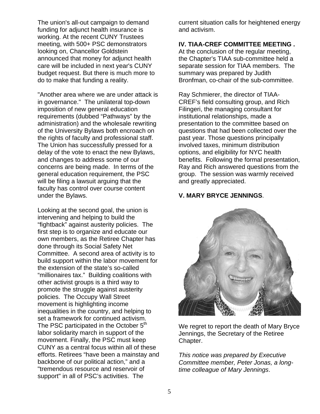The union's all-out campaign to demand funding for adjunct health insurance is working. At the recent CUNY Trustees meeting, with 500+ PSC demonstrators looking on, Chancellor Goldstein announced that money for adjunct health care will be included in next year's CUNY budget request. But there is much more to do to make that funding a reality.

"Another area where we are under attack is in governance." The unilateral top-down imposition of new general education requirements (dubbed "Pathways" by the administration) and the wholesale rewriting of the University Bylaws both encroach on the rights of faculty and professional staff. The Union has successfully pressed for a delay of the vote to enact the new Bylaws, and changes to address some of our concerns are being made. In terms of the general education requirement, the PSC will be filing a lawsuit arguing that the faculty has control over course content under the Bylaws.

Looking at the second goal, the union is intervening and helping to build the "fightback" against austerity policies. The first step is to organize and educate our own members, as the Retiree Chapter has done through its Social Safety Net Committee. A second area of activity is to build support within the labor movement for the extension of the state's so-called "millionaires tax." Building coalitions with other activist groups is a third way to promote the struggle against austerity policies. The Occupy Wall Street movement is highlighting income inequalities in the country, and helping to set a framework for continued activism. The PSC participated in the October 5<sup>th</sup> labor solidarity march in support of the movement. Finally, the PSC must keep CUNY as a central focus within all of these efforts. Retirees "have been a mainstay and backbone of our political action," and a "tremendous resource and reservoir of support" in all of PSC's activities. The

current situation calls for heightened energy and activism.

#### **IV. TIAA-CREF COMMITTEE MEETING .**

At the conclusion of the regular meeting, the Chapter's TIAA sub-committee held a separate session for TIAA members. The summary was prepared by Judith Bronfman, co-chair of the sub-committee.

Ray Schmierer, the director of TIAA-CREF's field consulting group, and Rich Filingeri, the managing consultant for institutional relationships, made a presentation to the committee based on questions that had been collected over the past year. Those questions principally involved taxes, minimum distribution options, and eligibility for NYC health benefits. Following the formal presentation, Ray and Rich answered questions from the group. The session was warmly received and greatly appreciated.

#### **V. MARY BRYCE JENNINGS**.



We regret to report the death of Mary Bryce Jennings, the Secretary of the Retiree Chapter.

*This notice was prepared by Executive Committee member, Peter Jonas, a longtime colleague of Mary Jennings*.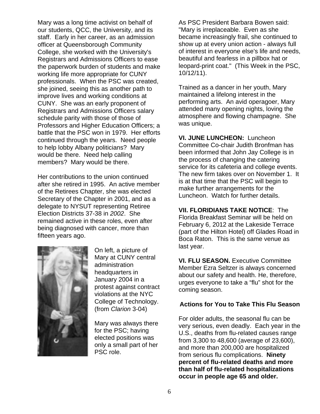Mary was a long time activist on behalf of our students, QCC, the University, and its staff. Early in her career, as an admission officer at Queensborough Community College, she worked with the University's Registrars and Admissions Officers to ease the paperwork burden of students and make working life more appropriate for CUNY professionals. When the PSC was created, she joined, seeing this as another path to improve lives and working conditions at CUNY. She was an early proponent of Registrars and Admissions Officers salary schedule parity with those of those of Professors and Higher Education Officers; a battle that the PSC won in 1979. Her efforts continued through the years. Need people to help lobby Albany politicians? Mary would be there. Need help calling members? Mary would be there.

Her contributions to the union continued after she retired in 1995. An active member of the Retirees Chapter, she was elected Secretary of the Chapter in 2001, and as a delegate to NYSUT representing Retiree Election Districts 37-38 in *2002*. She remained active in these roles, even after being diagnosed with cancer, more than fifteen years ago.



On left, a picture of Mary at CUNY central administration headquarters in January 2004 in a protest against contract violations at the NYC College of Technology. (from *Clarion* 3-04)

Mary was always there for the PSC; having elected positions was only a small part of her PSC role.

As PSC President Barbara Bowen said: "Mary is irreplaceable. Even as she became increasingly frail, she continued to show up at every union action - always full of interest in everyone else's life and needs, beautiful and fearless in a pillbox hat or leopard-print coat." (This Week in the PSC, 10/12/11).

Trained as a dancer in her youth, Mary maintained a lifelong interest in the performing arts. An avid operagoer, Mary attended many opening nights, loving the atmosphere and flowing champagne. She was unique.

**VI. JUNE LUNCHEON:** Luncheon Committee Co-chair Judith Bronfman has been informed that John Jay College is in the process of changing the catering service for its cafeteria and college events. The new firm takes over on November 1. It is at that time that the PSC will begin to make further arrangements for the Luncheon. Watch for further details.

**VII. FLORIDIANS TAKE NOTICE**: The Florida Breakfast Seminar will be held on February 6, 2012 at the Lakeside Terrace (part of the Hilton Hotel) off Glades Road in Boca Raton. This is the same venue as last year.

**VI. FLU SEASON.** Executive Committee Member Ezra Seltzer is always concerned about our safety and health. He, therefore, urges everyone to take a "flu" shot for the coming season.

#### **Actions for You to Take This Flu Season**

For older adults, the seasonal flu can be very serious, even deadly. Each year in the U.S., deaths from flu-related causes range from 3,300 to 48,600 (average of 23,600), and more than 200,000 are hospitalized from serious flu complications. **Ninety percent of flu-related deaths and more than half of flu-related hospitalizations occur in people age 65 and older.**